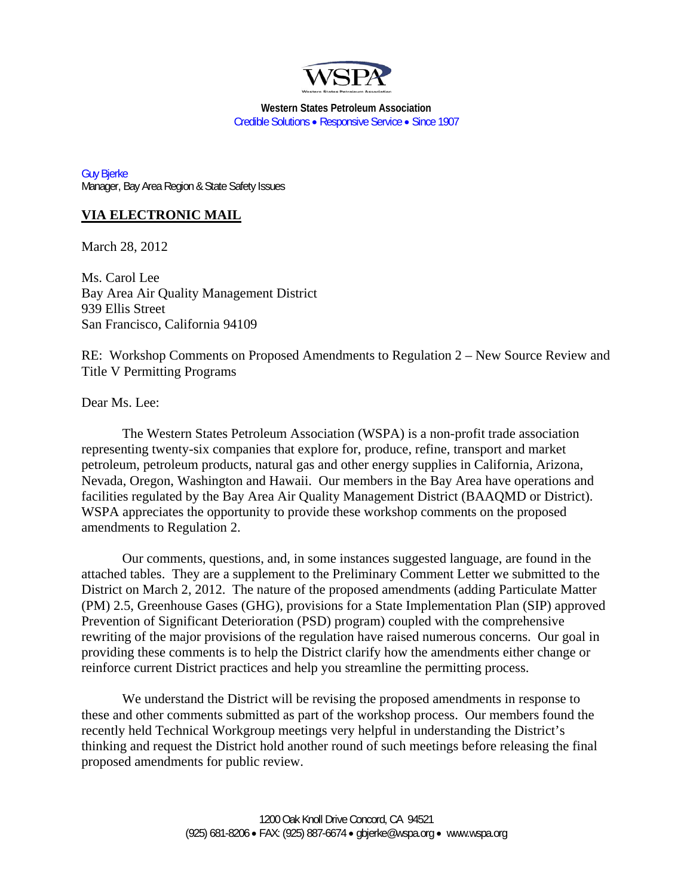

**Western States Petroleum Association**  Credible Solutions • Responsive Service • Since 1907

Guy Bjerke Manager, Bay Area Region & State Safety Issues

# **VIA ELECTRONIC MAIL**

March 28, 2012

Ms. Carol Lee Bay Area Air Quality Management District 939 Ellis Street San Francisco, California 94109

RE: Workshop Comments on Proposed Amendments to Regulation 2 – New Source Review and Title V Permitting Programs

Dear Ms. Lee:

The Western States Petroleum Association (WSPA) is a non-profit trade association representing twenty-six companies that explore for, produce, refine, transport and market petroleum, petroleum products, natural gas and other energy supplies in California, Arizona, Nevada, Oregon, Washington and Hawaii. Our members in the Bay Area have operations and facilities regulated by the Bay Area Air Quality Management District (BAAQMD or District). WSPA appreciates the opportunity to provide these workshop comments on the proposed amendments to Regulation 2.

Our comments, questions, and, in some instances suggested language, are found in the attached tables. They are a supplement to the Preliminary Comment Letter we submitted to the District on March 2, 2012. The nature of the proposed amendments (adding Particulate Matter (PM) 2.5, Greenhouse Gases (GHG), provisions for a State Implementation Plan (SIP) approved Prevention of Significant Deterioration (PSD) program) coupled with the comprehensive rewriting of the major provisions of the regulation have raised numerous concerns. Our goal in providing these comments is to help the District clarify how the amendments either change or reinforce current District practices and help you streamline the permitting process.

We understand the District will be revising the proposed amendments in response to these and other comments submitted as part of the workshop process. Our members found the recently held Technical Workgroup meetings very helpful in understanding the District's thinking and request the District hold another round of such meetings before releasing the final proposed amendments for public review.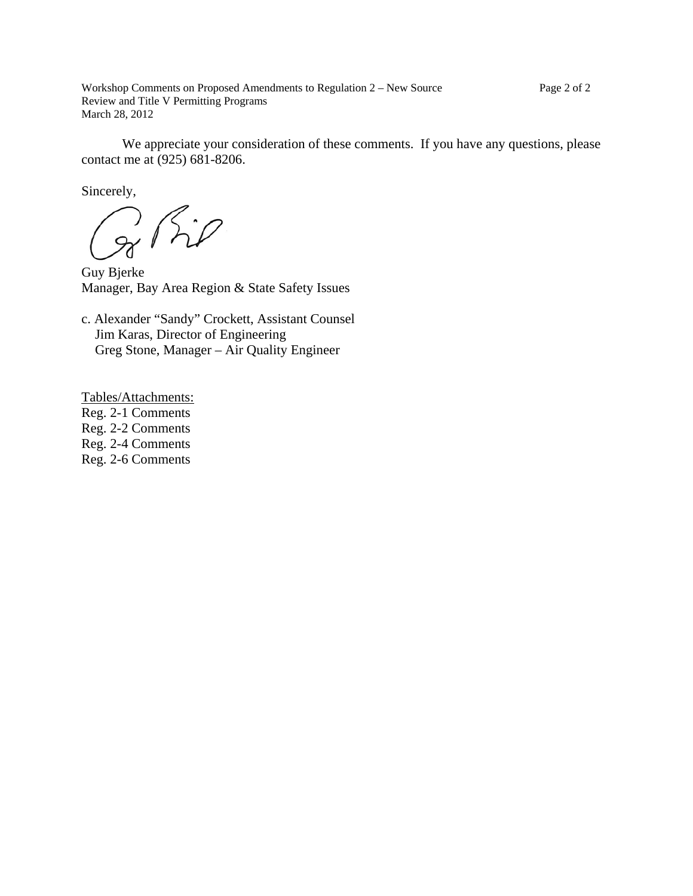Workshop Comments on Proposed Amendments to Regulation 2 – New Source Review and Title V Permitting Programs March 28, 2012

We appreciate your consideration of these comments. If you have any questions, please contact me at (925) 681-8206.

Sincerely,

g Rip

Guy Bjerke Manager, Bay Area Region & State Safety Issues

c. Alexander "Sandy" Crockett, Assistant Counsel Jim Karas, Director of Engineering Greg Stone, Manager – Air Quality Engineer

Tables/Attachments:

Reg. 2-1 Comments

Reg. 2-2 Comments

Reg. 2-4 Comments

Reg. 2-6 Comments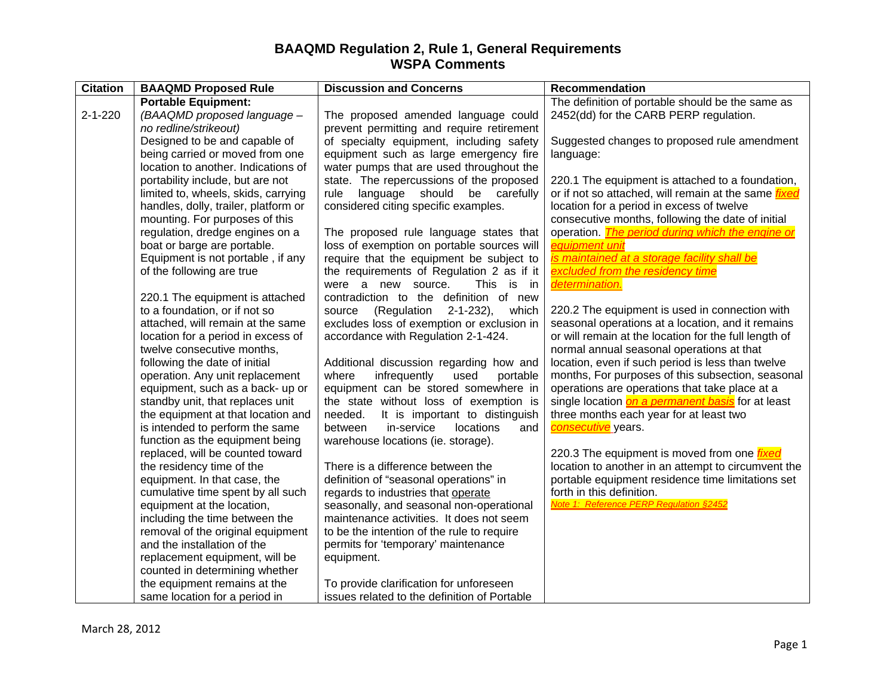| <b>Citation</b> | <b>BAAQMD Proposed Rule</b>          | <b>Discussion and Concerns</b>                    | Recommendation                                              |
|-----------------|--------------------------------------|---------------------------------------------------|-------------------------------------------------------------|
|                 | <b>Portable Equipment:</b>           |                                                   | The definition of portable should be the same as            |
| $2 - 1 - 220$   | (BAAQMD proposed language -          | The proposed amended language could               | 2452(dd) for the CARB PERP regulation.                      |
|                 | no redline/strikeout)                | prevent permitting and require retirement         |                                                             |
|                 | Designed to be and capable of        | of specialty equipment, including safety          | Suggested changes to proposed rule amendment                |
|                 | being carried or moved from one      | equipment such as large emergency fire            | language:                                                   |
|                 | location to another. Indications of  | water pumps that are used throughout the          |                                                             |
|                 | portability include, but are not     | state. The repercussions of the proposed          | 220.1 The equipment is attached to a foundation,            |
|                 | limited to, wheels, skids, carrying  | language should<br>be carefully<br>rule           | or if not so attached, will remain at the same <i>fixed</i> |
|                 | handles, dolly, trailer, platform or | considered citing specific examples.              | location for a period in excess of twelve                   |
|                 | mounting. For purposes of this       |                                                   | consecutive months, following the date of initial           |
|                 | regulation, dredge engines on a      | The proposed rule language states that            | operation. The period during which the engine or            |
|                 | boat or barge are portable.          | loss of exemption on portable sources will        | equipment unit                                              |
|                 | Equipment is not portable, if any    | require that the equipment be subject to          | <u>is maintained at a storage facility shall be</u>         |
|                 | of the following are true            | the requirements of Regulation 2 as if it         | excluded from the residency time                            |
|                 |                                      | were a new source.<br>This<br>is in               | determination.                                              |
|                 | 220.1 The equipment is attached      | contradiction to the definition of new            |                                                             |
|                 | to a foundation, or if not so        | (Regulation<br>$2 - 1 - 232$ ,<br>which<br>source | 220.2 The equipment is used in connection with              |
|                 | attached, will remain at the same    | excludes loss of exemption or exclusion in        | seasonal operations at a location, and it remains           |
|                 | location for a period in excess of   | accordance with Regulation 2-1-424.               | or will remain at the location for the full length of       |
|                 | twelve consecutive months,           |                                                   | normal annual seasonal operations at that                   |
|                 | following the date of initial        | Additional discussion regarding how and           | location, even if such period is less than twelve           |
|                 | operation. Any unit replacement      | infrequently<br>where<br>used<br>portable         | months, For purposes of this subsection, seasonal           |
|                 | equipment, such as a back- up or     | equipment can be stored somewhere in              | operations are operations that take place at a              |
|                 | standby unit, that replaces unit     | the state without loss of exemption is            | single location on a permanent basis for at least           |
|                 | the equipment at that location and   | needed.<br>It is important to distinguish         | three months each year for at least two                     |
|                 | is intended to perform the same      | between<br>in-service<br>locations<br>and         | consecutive years.                                          |
|                 | function as the equipment being      | warehouse locations (ie. storage).                |                                                             |
|                 | replaced, will be counted toward     |                                                   | 220.3 The equipment is moved from one <i>fixed</i>          |
|                 | the residency time of the            | There is a difference between the                 | location to another in an attempt to circumvent the         |
|                 | equipment. In that case, the         | definition of "seasonal operations" in            | portable equipment residence time limitations set           |
|                 | cumulative time spent by all such    | regards to industries that operate                | forth in this definition.                                   |
|                 | equipment at the location,           | seasonally, and seasonal non-operational          | Note 1: Reference PERP Regulation §2452                     |
|                 | including the time between the       | maintenance activities. It does not seem          |                                                             |
|                 | removal of the original equipment    | to be the intention of the rule to require        |                                                             |
|                 | and the installation of the          | permits for 'temporary' maintenance               |                                                             |
|                 | replacement equipment, will be       | equipment.                                        |                                                             |
|                 | counted in determining whether       |                                                   |                                                             |
|                 | the equipment remains at the         | To provide clarification for unforeseen           |                                                             |
|                 | same location for a period in        | issues related to the definition of Portable      |                                                             |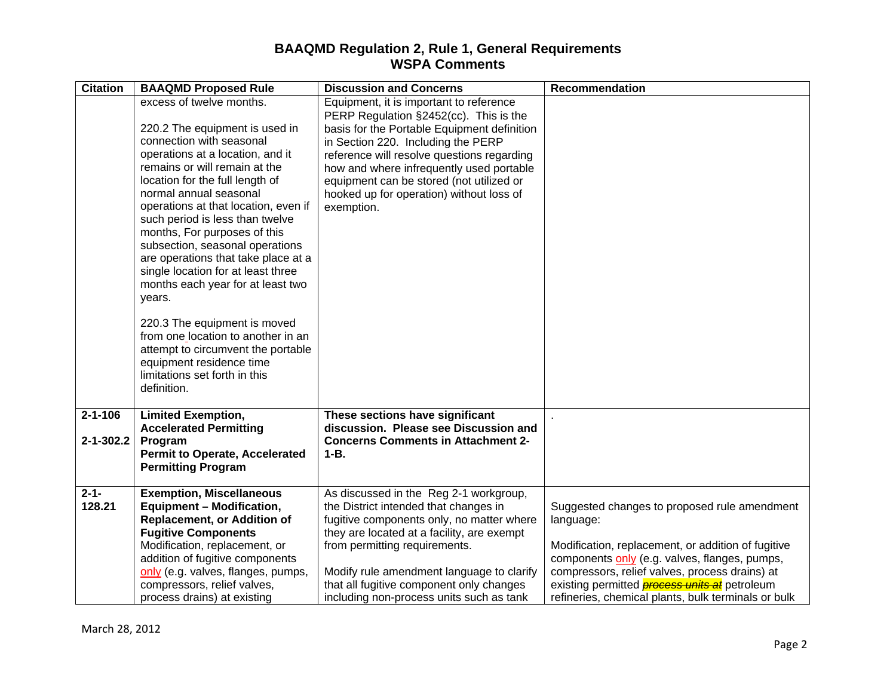| <b>BAAQMD Proposed Rule</b>         | <b>Discussion and Concerns</b>                                                                                                                                                                                                                                                                                                                                                                                                                                                                                                                                                                                                                                                                                                                                                                                                                                                                      | <b>Recommendation</b>                                                                                                                                                                                                                                                                                                                                                                                                                                                                                                                                                                                                             |
|-------------------------------------|-----------------------------------------------------------------------------------------------------------------------------------------------------------------------------------------------------------------------------------------------------------------------------------------------------------------------------------------------------------------------------------------------------------------------------------------------------------------------------------------------------------------------------------------------------------------------------------------------------------------------------------------------------------------------------------------------------------------------------------------------------------------------------------------------------------------------------------------------------------------------------------------------------|-----------------------------------------------------------------------------------------------------------------------------------------------------------------------------------------------------------------------------------------------------------------------------------------------------------------------------------------------------------------------------------------------------------------------------------------------------------------------------------------------------------------------------------------------------------------------------------------------------------------------------------|
|                                     | Equipment, it is important to reference                                                                                                                                                                                                                                                                                                                                                                                                                                                                                                                                                                                                                                                                                                                                                                                                                                                             |                                                                                                                                                                                                                                                                                                                                                                                                                                                                                                                                                                                                                                   |
|                                     |                                                                                                                                                                                                                                                                                                                                                                                                                                                                                                                                                                                                                                                                                                                                                                                                                                                                                                     |                                                                                                                                                                                                                                                                                                                                                                                                                                                                                                                                                                                                                                   |
|                                     |                                                                                                                                                                                                                                                                                                                                                                                                                                                                                                                                                                                                                                                                                                                                                                                                                                                                                                     |                                                                                                                                                                                                                                                                                                                                                                                                                                                                                                                                                                                                                                   |
| operations at a location, and it    |                                                                                                                                                                                                                                                                                                                                                                                                                                                                                                                                                                                                                                                                                                                                                                                                                                                                                                     |                                                                                                                                                                                                                                                                                                                                                                                                                                                                                                                                                                                                                                   |
| remains or will remain at the       | how and where infrequently used portable                                                                                                                                                                                                                                                                                                                                                                                                                                                                                                                                                                                                                                                                                                                                                                                                                                                            |                                                                                                                                                                                                                                                                                                                                                                                                                                                                                                                                                                                                                                   |
|                                     | equipment can be stored (not utilized or                                                                                                                                                                                                                                                                                                                                                                                                                                                                                                                                                                                                                                                                                                                                                                                                                                                            |                                                                                                                                                                                                                                                                                                                                                                                                                                                                                                                                                                                                                                   |
|                                     |                                                                                                                                                                                                                                                                                                                                                                                                                                                                                                                                                                                                                                                                                                                                                                                                                                                                                                     |                                                                                                                                                                                                                                                                                                                                                                                                                                                                                                                                                                                                                                   |
|                                     |                                                                                                                                                                                                                                                                                                                                                                                                                                                                                                                                                                                                                                                                                                                                                                                                                                                                                                     |                                                                                                                                                                                                                                                                                                                                                                                                                                                                                                                                                                                                                                   |
|                                     |                                                                                                                                                                                                                                                                                                                                                                                                                                                                                                                                                                                                                                                                                                                                                                                                                                                                                                     |                                                                                                                                                                                                                                                                                                                                                                                                                                                                                                                                                                                                                                   |
| subsection, seasonal operations     |                                                                                                                                                                                                                                                                                                                                                                                                                                                                                                                                                                                                                                                                                                                                                                                                                                                                                                     |                                                                                                                                                                                                                                                                                                                                                                                                                                                                                                                                                                                                                                   |
| are operations that take place at a |                                                                                                                                                                                                                                                                                                                                                                                                                                                                                                                                                                                                                                                                                                                                                                                                                                                                                                     |                                                                                                                                                                                                                                                                                                                                                                                                                                                                                                                                                                                                                                   |
|                                     |                                                                                                                                                                                                                                                                                                                                                                                                                                                                                                                                                                                                                                                                                                                                                                                                                                                                                                     |                                                                                                                                                                                                                                                                                                                                                                                                                                                                                                                                                                                                                                   |
|                                     |                                                                                                                                                                                                                                                                                                                                                                                                                                                                                                                                                                                                                                                                                                                                                                                                                                                                                                     |                                                                                                                                                                                                                                                                                                                                                                                                                                                                                                                                                                                                                                   |
|                                     |                                                                                                                                                                                                                                                                                                                                                                                                                                                                                                                                                                                                                                                                                                                                                                                                                                                                                                     |                                                                                                                                                                                                                                                                                                                                                                                                                                                                                                                                                                                                                                   |
| 220.3 The equipment is moved        |                                                                                                                                                                                                                                                                                                                                                                                                                                                                                                                                                                                                                                                                                                                                                                                                                                                                                                     |                                                                                                                                                                                                                                                                                                                                                                                                                                                                                                                                                                                                                                   |
|                                     |                                                                                                                                                                                                                                                                                                                                                                                                                                                                                                                                                                                                                                                                                                                                                                                                                                                                                                     |                                                                                                                                                                                                                                                                                                                                                                                                                                                                                                                                                                                                                                   |
|                                     |                                                                                                                                                                                                                                                                                                                                                                                                                                                                                                                                                                                                                                                                                                                                                                                                                                                                                                     |                                                                                                                                                                                                                                                                                                                                                                                                                                                                                                                                                                                                                                   |
|                                     |                                                                                                                                                                                                                                                                                                                                                                                                                                                                                                                                                                                                                                                                                                                                                                                                                                                                                                     |                                                                                                                                                                                                                                                                                                                                                                                                                                                                                                                                                                                                                                   |
| definition.                         |                                                                                                                                                                                                                                                                                                                                                                                                                                                                                                                                                                                                                                                                                                                                                                                                                                                                                                     |                                                                                                                                                                                                                                                                                                                                                                                                                                                                                                                                                                                                                                   |
|                                     |                                                                                                                                                                                                                                                                                                                                                                                                                                                                                                                                                                                                                                                                                                                                                                                                                                                                                                     |                                                                                                                                                                                                                                                                                                                                                                                                                                                                                                                                                                                                                                   |
|                                     |                                                                                                                                                                                                                                                                                                                                                                                                                                                                                                                                                                                                                                                                                                                                                                                                                                                                                                     |                                                                                                                                                                                                                                                                                                                                                                                                                                                                                                                                                                                                                                   |
|                                     |                                                                                                                                                                                                                                                                                                                                                                                                                                                                                                                                                                                                                                                                                                                                                                                                                                                                                                     |                                                                                                                                                                                                                                                                                                                                                                                                                                                                                                                                                                                                                                   |
|                                     | $1 - B$ .                                                                                                                                                                                                                                                                                                                                                                                                                                                                                                                                                                                                                                                                                                                                                                                                                                                                                           |                                                                                                                                                                                                                                                                                                                                                                                                                                                                                                                                                                                                                                   |
| <b>Permitting Program</b>           |                                                                                                                                                                                                                                                                                                                                                                                                                                                                                                                                                                                                                                                                                                                                                                                                                                                                                                     |                                                                                                                                                                                                                                                                                                                                                                                                                                                                                                                                                                                                                                   |
|                                     |                                                                                                                                                                                                                                                                                                                                                                                                                                                                                                                                                                                                                                                                                                                                                                                                                                                                                                     |                                                                                                                                                                                                                                                                                                                                                                                                                                                                                                                                                                                                                                   |
|                                     |                                                                                                                                                                                                                                                                                                                                                                                                                                                                                                                                                                                                                                                                                                                                                                                                                                                                                                     | Suggested changes to proposed rule amendment                                                                                                                                                                                                                                                                                                                                                                                                                                                                                                                                                                                      |
|                                     |                                                                                                                                                                                                                                                                                                                                                                                                                                                                                                                                                                                                                                                                                                                                                                                                                                                                                                     | language:                                                                                                                                                                                                                                                                                                                                                                                                                                                                                                                                                                                                                         |
| <b>Fugitive Components</b>          | they are located at a facility, are exempt                                                                                                                                                                                                                                                                                                                                                                                                                                                                                                                                                                                                                                                                                                                                                                                                                                                          |                                                                                                                                                                                                                                                                                                                                                                                                                                                                                                                                                                                                                                   |
|                                     | from permitting requirements.                                                                                                                                                                                                                                                                                                                                                                                                                                                                                                                                                                                                                                                                                                                                                                                                                                                                       | Modification, replacement, or addition of fugitive                                                                                                                                                                                                                                                                                                                                                                                                                                                                                                                                                                                |
|                                     |                                                                                                                                                                                                                                                                                                                                                                                                                                                                                                                                                                                                                                                                                                                                                                                                                                                                                                     | components only (e.g. valves, flanges, pumps,                                                                                                                                                                                                                                                                                                                                                                                                                                                                                                                                                                                     |
|                                     |                                                                                                                                                                                                                                                                                                                                                                                                                                                                                                                                                                                                                                                                                                                                                                                                                                                                                                     | compressors, relief valves, process drains) at<br>existing permitted <b>process units at</b> petroleum                                                                                                                                                                                                                                                                                                                                                                                                                                                                                                                            |
|                                     |                                                                                                                                                                                                                                                                                                                                                                                                                                                                                                                                                                                                                                                                                                                                                                                                                                                                                                     | refineries, chemical plants, bulk terminals or bulk                                                                                                                                                                                                                                                                                                                                                                                                                                                                                                                                                                               |
|                                     | excess of twelve months.<br>220.2 The equipment is used in<br>connection with seasonal<br>location for the full length of<br>normal annual seasonal<br>operations at that location, even if<br>such period is less than twelve<br>months, For purposes of this<br>single location for at least three<br>months each year for at least two<br>years.<br>from one location to another in an<br>attempt to circumvent the portable<br>equipment residence time<br>limitations set forth in this<br><b>Limited Exemption,</b><br><b>Accelerated Permitting</b><br>Program<br><b>Permit to Operate, Accelerated</b><br><b>Exemption, Miscellaneous</b><br><b>Equipment - Modification,</b><br><b>Replacement, or Addition of</b><br>Modification, replacement, or<br>addition of fugitive components<br>only (e.g. valves, flanges, pumps,<br>compressors, relief valves,<br>process drains) at existing | PERP Regulation §2452(cc). This is the<br>basis for the Portable Equipment definition<br>in Section 220. Including the PERP<br>reference will resolve questions regarding<br>hooked up for operation) without loss of<br>exemption.<br>These sections have significant<br>discussion. Please see Discussion and<br><b>Concerns Comments in Attachment 2-</b><br>As discussed in the Reg 2-1 workgroup,<br>the District intended that changes in<br>fugitive components only, no matter where<br>Modify rule amendment language to clarify<br>that all fugitive component only changes<br>including non-process units such as tank |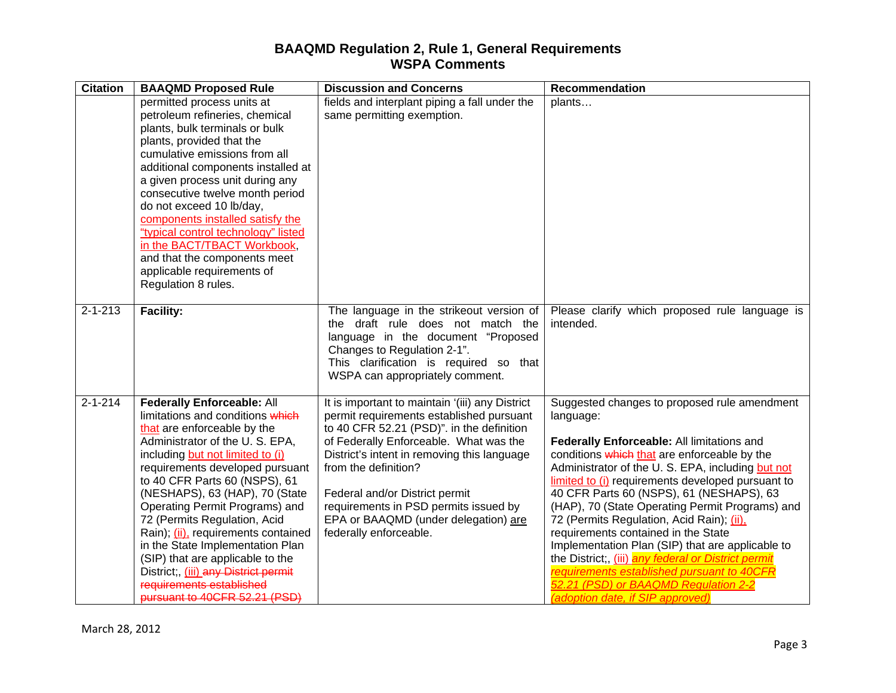| <b>Citation</b> | <b>BAAQMD Proposed Rule</b>                                                                                                                                                                                                                                                                                                                                                                                                                                                                                                                                           | <b>Discussion and Concerns</b>                                                                                                                                                                                                                                                                                                                                                                         | Recommendation                                                                                                                                                                                                                                                                                                                                                                                                                                                                                                                                                                                                                                                                           |
|-----------------|-----------------------------------------------------------------------------------------------------------------------------------------------------------------------------------------------------------------------------------------------------------------------------------------------------------------------------------------------------------------------------------------------------------------------------------------------------------------------------------------------------------------------------------------------------------------------|--------------------------------------------------------------------------------------------------------------------------------------------------------------------------------------------------------------------------------------------------------------------------------------------------------------------------------------------------------------------------------------------------------|------------------------------------------------------------------------------------------------------------------------------------------------------------------------------------------------------------------------------------------------------------------------------------------------------------------------------------------------------------------------------------------------------------------------------------------------------------------------------------------------------------------------------------------------------------------------------------------------------------------------------------------------------------------------------------------|
|                 | permitted process units at<br>petroleum refineries, chemical<br>plants, bulk terminals or bulk<br>plants, provided that the<br>cumulative emissions from all<br>additional components installed at<br>a given process unit during any<br>consecutive twelve month period<br>do not exceed 10 lb/day,<br>components installed satisfy the<br>"typical control technology" listed<br>in the BACT/TBACT Workbook,<br>and that the components meet<br>applicable requirements of<br>Regulation 8 rules.                                                                   | fields and interplant piping a fall under the<br>same permitting exemption.                                                                                                                                                                                                                                                                                                                            | plants                                                                                                                                                                                                                                                                                                                                                                                                                                                                                                                                                                                                                                                                                   |
| $2 - 1 - 213$   | <b>Facility:</b>                                                                                                                                                                                                                                                                                                                                                                                                                                                                                                                                                      | The language in the strikeout version of<br>the draft rule does not match the<br>language in the document "Proposed<br>Changes to Regulation 2-1".<br>This clarification is required so that<br>WSPA can appropriately comment.                                                                                                                                                                        | Please clarify which proposed rule language is<br>intended.                                                                                                                                                                                                                                                                                                                                                                                                                                                                                                                                                                                                                              |
| $2 - 1 - 214$   | <b>Federally Enforceable: All</b><br>limitations and conditions which<br>that are enforceable by the<br>Administrator of the U.S. EPA,<br>including but not limited to (i)<br>requirements developed pursuant<br>to 40 CFR Parts 60 (NSPS), 61<br>(NESHAPS), 63 (HAP), 70 (State<br>Operating Permit Programs) and<br>72 (Permits Regulation, Acid<br>Rain); (ii), requirements contained<br>in the State Implementation Plan<br>(SIP) that are applicable to the<br>District; (iii) any District permit<br>requirements established<br>pursuant to 40CFR 52.21 (PSD) | It is important to maintain '(iii) any District<br>permit requirements established pursuant<br>to 40 CFR 52.21 (PSD)". in the definition<br>of Federally Enforceable. What was the<br>District's intent in removing this language<br>from the definition?<br>Federal and/or District permit<br>requirements in PSD permits issued by<br>EPA or BAAQMD (under delegation) are<br>federally enforceable. | Suggested changes to proposed rule amendment<br>language:<br>Federally Enforceable: All limitations and<br>conditions which that are enforceable by the<br>Administrator of the U.S. EPA, including but not<br>limited to (i) requirements developed pursuant to<br>40 CFR Parts 60 (NSPS), 61 (NESHAPS), 63<br>(HAP), 70 (State Operating Permit Programs) and<br>72 (Permits Regulation, Acid Rain); (ii),<br>requirements contained in the State<br>Implementation Plan (SIP) that are applicable to<br>the District;, (iii) any federal or District permit<br>requirements established pursuant to 40CFR<br>52.21 (PSD) or BAAQMD Regulation 2-2<br>(adoption date, if SIP approved) |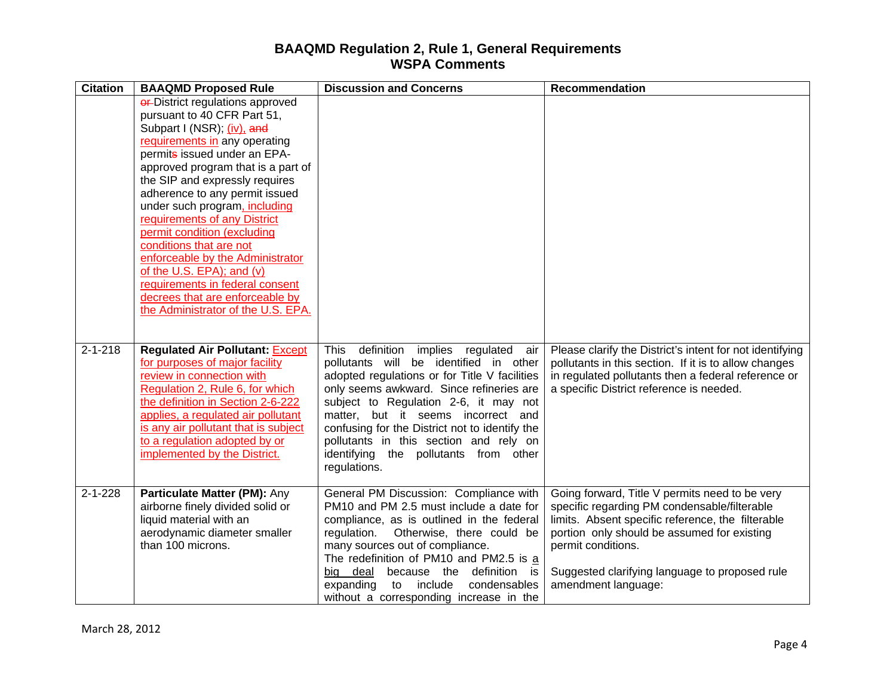| <b>Citation</b> | <b>BAAQMD Proposed Rule</b>                                                                                                                                                                                                                                                                                                                                                                                                                                                                                                                                                             | <b>Discussion and Concerns</b>                                                                                                                                                                                                                                                                                                                                                                                                   | Recommendation                                                                                                                                                                                                                                                                                    |
|-----------------|-----------------------------------------------------------------------------------------------------------------------------------------------------------------------------------------------------------------------------------------------------------------------------------------------------------------------------------------------------------------------------------------------------------------------------------------------------------------------------------------------------------------------------------------------------------------------------------------|----------------------------------------------------------------------------------------------------------------------------------------------------------------------------------------------------------------------------------------------------------------------------------------------------------------------------------------------------------------------------------------------------------------------------------|---------------------------------------------------------------------------------------------------------------------------------------------------------------------------------------------------------------------------------------------------------------------------------------------------|
|                 | <b>er-District regulations approved</b><br>pursuant to 40 CFR Part 51,<br>Subpart I (NSR); (iv), and<br>requirements in any operating<br>permits issued under an EPA-<br>approved program that is a part of<br>the SIP and expressly requires<br>adherence to any permit issued<br>under such program, including<br>requirements of any District<br>permit condition (excluding<br>conditions that are not<br>enforceable by the Administrator<br>of the U.S. EPA); and (v)<br>requirements in federal consent<br>decrees that are enforceable by<br>the Administrator of the U.S. EPA. |                                                                                                                                                                                                                                                                                                                                                                                                                                  |                                                                                                                                                                                                                                                                                                   |
| $2 - 1 - 218$   | <b>Regulated Air Pollutant: Except</b><br>for purposes of major facility<br>review in connection with<br>Regulation 2, Rule 6, for which<br>the definition in Section 2-6-222<br>applies, a regulated air pollutant<br>is any air pollutant that is subject<br>to a regulation adopted by or<br>implemented by the District.                                                                                                                                                                                                                                                            | <b>This</b><br>definition<br>implies regulated<br>air<br>pollutants will be identified in other<br>adopted regulations or for Title V facilities<br>only seems awkward. Since refineries are<br>subject to Regulation 2-6, it may not<br>matter, but it seems incorrect and<br>confusing for the District not to identify the<br>pollutants in this section and rely on<br>identifying the pollutants from other<br>regulations. | Please clarify the District's intent for not identifying<br>pollutants in this section. If it is to allow changes<br>in regulated pollutants then a federal reference or<br>a specific District reference is needed.                                                                              |
| $2 - 1 - 228$   | Particulate Matter (PM): Any<br>airborne finely divided solid or<br>liquid material with an<br>aerodynamic diameter smaller<br>than 100 microns.                                                                                                                                                                                                                                                                                                                                                                                                                                        | General PM Discussion: Compliance with<br>PM10 and PM 2.5 must include a date for<br>compliance, as is outlined in the federal<br>regulation. Otherwise, there could be<br>many sources out of compliance.<br>The redefinition of PM10 and PM2.5 is a<br>deal<br>because the<br>definition is<br>bia<br>expanding<br>to<br>include<br>condensables<br>without a corresponding increase in the                                    | Going forward, Title V permits need to be very<br>specific regarding PM condensable/filterable<br>limits. Absent specific reference, the filterable<br>portion only should be assumed for existing<br>permit conditions.<br>Suggested clarifying language to proposed rule<br>amendment language: |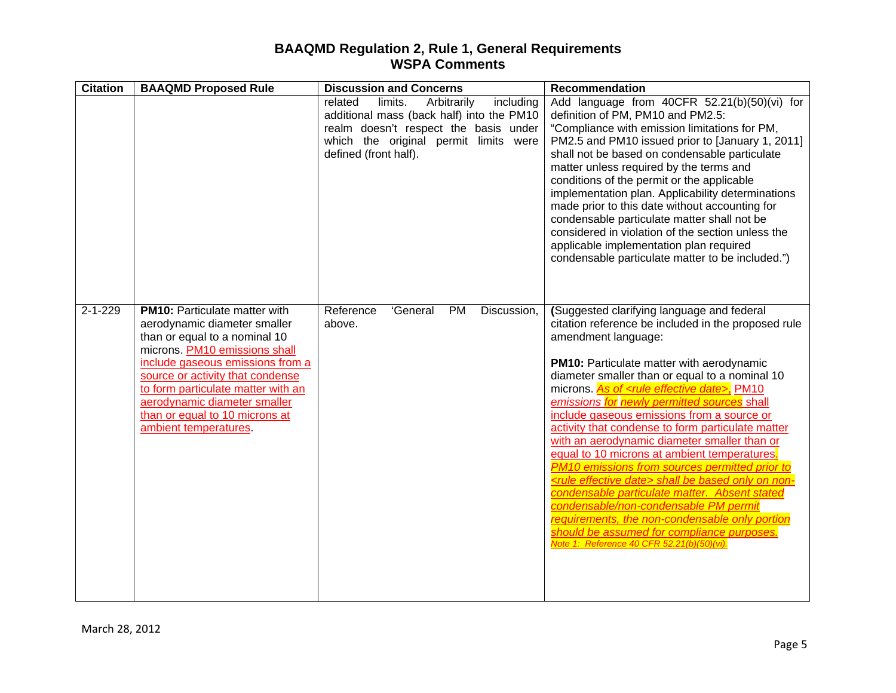| <b>Citation</b> | <b>BAAQMD Proposed Rule</b>                                                                                                                                                                                                                                                                                                                     | <b>Discussion and Concerns</b>                                                                                                                                                                         | <b>Recommendation</b>                                                                                                                                                                                                                                                                                                                                                                                                                                                                                                                                                                                                                                                                                                                                                                                                                                                                                               |
|-----------------|-------------------------------------------------------------------------------------------------------------------------------------------------------------------------------------------------------------------------------------------------------------------------------------------------------------------------------------------------|--------------------------------------------------------------------------------------------------------------------------------------------------------------------------------------------------------|---------------------------------------------------------------------------------------------------------------------------------------------------------------------------------------------------------------------------------------------------------------------------------------------------------------------------------------------------------------------------------------------------------------------------------------------------------------------------------------------------------------------------------------------------------------------------------------------------------------------------------------------------------------------------------------------------------------------------------------------------------------------------------------------------------------------------------------------------------------------------------------------------------------------|
|                 |                                                                                                                                                                                                                                                                                                                                                 | related<br>limits.<br>Arbitrarily<br>including<br>additional mass (back half) into the PM10<br>realm doesn't respect the basis under<br>which the original permit limits were<br>defined (front half). | Add language from 40CFR 52.21(b)(50)(vi) for<br>definition of PM, PM10 and PM2.5:<br>"Compliance with emission limitations for PM,<br>PM2.5 and PM10 issued prior to [January 1, 2011]<br>shall not be based on condensable particulate<br>matter unless required by the terms and<br>conditions of the permit or the applicable<br>implementation plan. Applicability determinations<br>made prior to this date without accounting for<br>condensable particulate matter shall not be<br>considered in violation of the section unless the<br>applicable implementation plan required<br>condensable particulate matter to be included.")                                                                                                                                                                                                                                                                          |
| $2 - 1 - 229$   | <b>PM10: Particulate matter with</b><br>aerodynamic diameter smaller<br>than or equal to a nominal 10<br>microns. PM10 emissions shall<br>include gaseous emissions from a<br>source or activity that condense<br>to form particulate matter with an<br>aerodynamic diameter smaller<br>than or equal to 10 microns at<br>ambient temperatures. | Reference<br>'General<br><b>PM</b><br>Discussion,<br>above.                                                                                                                                            | (Suggested clarifying language and federal<br>citation reference be included in the proposed rule<br>amendment language:<br><b>PM10:</b> Particulate matter with aerodynamic<br>diameter smaller than or equal to a nominal 10<br>microns. As of <rule date="" effective="">, PM10<br/>emissions for newly permitted sources shall<br/>include gaseous emissions from a source or<br/>activity that condense to form particulate matter<br/>with an aerodynamic diameter smaller than or<br/>equal to 10 microns at ambient temperatures.<br/>PM10 emissions from sources permitted prior to<br/><rule date="" effective=""> shall be based only on non-<br/>condensable particulate matter. Absent stated<br/>condensable/non-condensable PM permit<br/>requirements, the non-condensable only portion<br/>should be assumed for compliance purposes.<br/>Note 1: Reference 40 CFR 52.21(b)(50)(vi).</rule></rule> |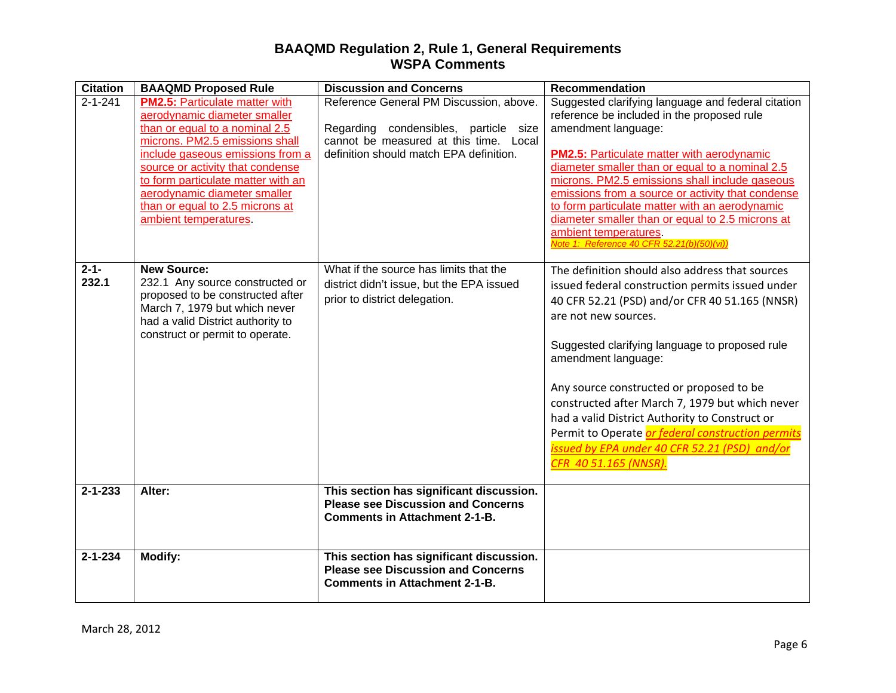| <b>Citation</b>    | <b>BAAQMD Proposed Rule</b>                                                                                                                                                                                                                                                                                                                         | <b>Discussion and Concerns</b>                                                                                                                                        | <b>Recommendation</b>                                                                                                                                                                                                                                                                                                                                                                                                                                                                                                                  |
|--------------------|-----------------------------------------------------------------------------------------------------------------------------------------------------------------------------------------------------------------------------------------------------------------------------------------------------------------------------------------------------|-----------------------------------------------------------------------------------------------------------------------------------------------------------------------|----------------------------------------------------------------------------------------------------------------------------------------------------------------------------------------------------------------------------------------------------------------------------------------------------------------------------------------------------------------------------------------------------------------------------------------------------------------------------------------------------------------------------------------|
| $2 - 1 - 241$      | <b>PM2.5: Particulate matter with</b><br>aerodynamic diameter smaller<br>than or equal to a nominal 2.5<br>microns. PM2.5 emissions shall<br>include gaseous emissions from a<br>source or activity that condense<br>to form particulate matter with an<br>aerodynamic diameter smaller<br>than or equal to 2.5 microns at<br>ambient temperatures. | Reference General PM Discussion, above.<br>Regarding condensibles, particle size<br>cannot be measured at this time. Local<br>definition should match EPA definition. | Suggested clarifying language and federal citation<br>reference be included in the proposed rule<br>amendment language:<br><b>PM2.5: Particulate matter with aerodynamic</b><br>diameter smaller than or equal to a nominal 2.5<br>microns. PM2.5 emissions shall include gaseous<br>emissions from a source or activity that condense<br>to form particulate matter with an aerodynamic<br>diameter smaller than or equal to 2.5 microns at<br>ambient temperatures.<br>Note 1: Reference 40 CFR 52.21(b)(50)(vi))                    |
| $2 - 1 -$<br>232.1 | <b>New Source:</b><br>232.1 Any source constructed or<br>proposed to be constructed after<br>March 7, 1979 but which never<br>had a valid District authority to<br>construct or permit to operate.                                                                                                                                                  | What if the source has limits that the<br>district didn't issue, but the EPA issued<br>prior to district delegation.                                                  | The definition should also address that sources<br>issued federal construction permits issued under<br>40 CFR 52.21 (PSD) and/or CFR 40 51.165 (NNSR)<br>are not new sources.<br>Suggested clarifying language to proposed rule<br>amendment language:<br>Any source constructed or proposed to be<br>constructed after March 7, 1979 but which never<br>had a valid District Authority to Construct or<br>Permit to Operate or federal construction permits<br>issued by EPA under 40 CFR 52.21 (PSD) and/or<br>CFR 40 51.165 (NNSR). |
| $2 - 1 - 233$      | Alter:                                                                                                                                                                                                                                                                                                                                              | This section has significant discussion.<br><b>Please see Discussion and Concerns</b><br><b>Comments in Attachment 2-1-B.</b>                                         |                                                                                                                                                                                                                                                                                                                                                                                                                                                                                                                                        |
| $2 - 1 - 234$      | <b>Modify:</b>                                                                                                                                                                                                                                                                                                                                      | This section has significant discussion.<br><b>Please see Discussion and Concerns</b><br><b>Comments in Attachment 2-1-B.</b>                                         |                                                                                                                                                                                                                                                                                                                                                                                                                                                                                                                                        |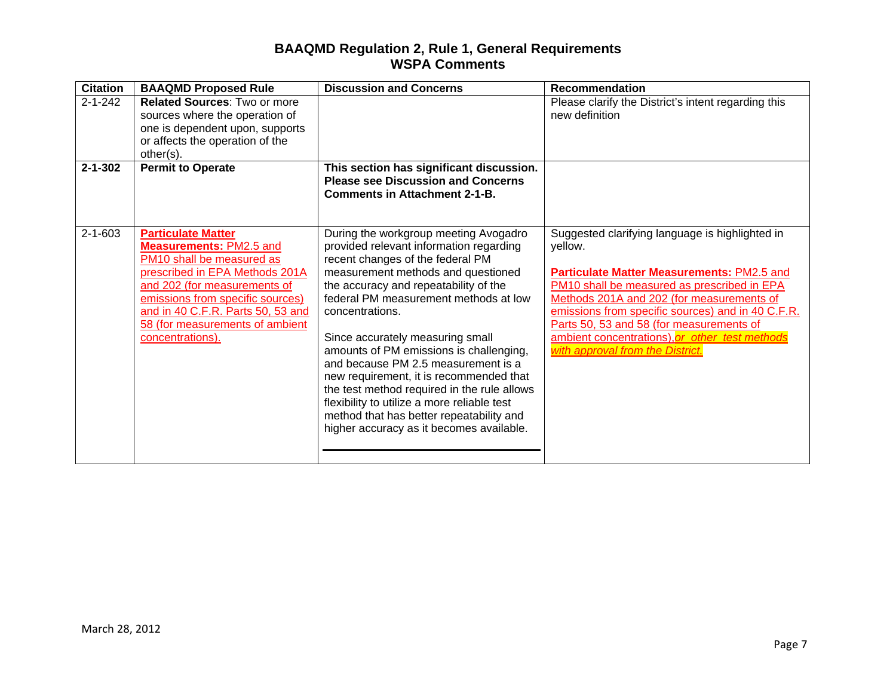| <b>Citation</b> | <b>BAAQMD Proposed Rule</b>                                                                                                                                                                                                                                                                | <b>Discussion and Concerns</b>                                                                                                                                                                                                                                                                                                                                                                                                                                                                                                                                                                                         | <b>Recommendation</b>                                                                                                                                                                                                                                                                                                                                                                       |
|-----------------|--------------------------------------------------------------------------------------------------------------------------------------------------------------------------------------------------------------------------------------------------------------------------------------------|------------------------------------------------------------------------------------------------------------------------------------------------------------------------------------------------------------------------------------------------------------------------------------------------------------------------------------------------------------------------------------------------------------------------------------------------------------------------------------------------------------------------------------------------------------------------------------------------------------------------|---------------------------------------------------------------------------------------------------------------------------------------------------------------------------------------------------------------------------------------------------------------------------------------------------------------------------------------------------------------------------------------------|
| $2 - 1 - 242$   | <b>Related Sources: Two or more</b><br>sources where the operation of<br>one is dependent upon, supports<br>or affects the operation of the<br>other(s).                                                                                                                                   |                                                                                                                                                                                                                                                                                                                                                                                                                                                                                                                                                                                                                        | Please clarify the District's intent regarding this<br>new definition                                                                                                                                                                                                                                                                                                                       |
| $2 - 1 - 302$   | <b>Permit to Operate</b>                                                                                                                                                                                                                                                                   | This section has significant discussion.<br><b>Please see Discussion and Concerns</b><br><b>Comments in Attachment 2-1-B.</b>                                                                                                                                                                                                                                                                                                                                                                                                                                                                                          |                                                                                                                                                                                                                                                                                                                                                                                             |
| $2 - 1 - 603$   | <b>Particulate Matter</b><br><b>Measurements: PM2.5 and</b><br>PM10 shall be measured as<br>prescribed in EPA Methods 201A<br>and 202 (for measurements of<br>emissions from specific sources)<br>and in 40 C.F.R. Parts 50, 53 and<br>58 (for measurements of ambient<br>concentrations). | During the workgroup meeting Avogadro<br>provided relevant information regarding<br>recent changes of the federal PM<br>measurement methods and questioned<br>the accuracy and repeatability of the<br>federal PM measurement methods at low<br>concentrations.<br>Since accurately measuring small<br>amounts of PM emissions is challenging,<br>and because PM 2.5 measurement is a<br>new requirement, it is recommended that<br>the test method required in the rule allows<br>flexibility to utilize a more reliable test<br>method that has better repeatability and<br>higher accuracy as it becomes available. | Suggested clarifying language is highlighted in<br>yellow.<br>Particulate Matter Measurements: PM2.5 and<br>PM10 shall be measured as prescribed in EPA<br>Methods 201A and 202 (for measurements of<br>emissions from specific sources) and in 40 C.F.R.<br>Parts 50, 53 and 58 (for measurements of<br>ambient concentrations), or other test methods<br>with approval from the District. |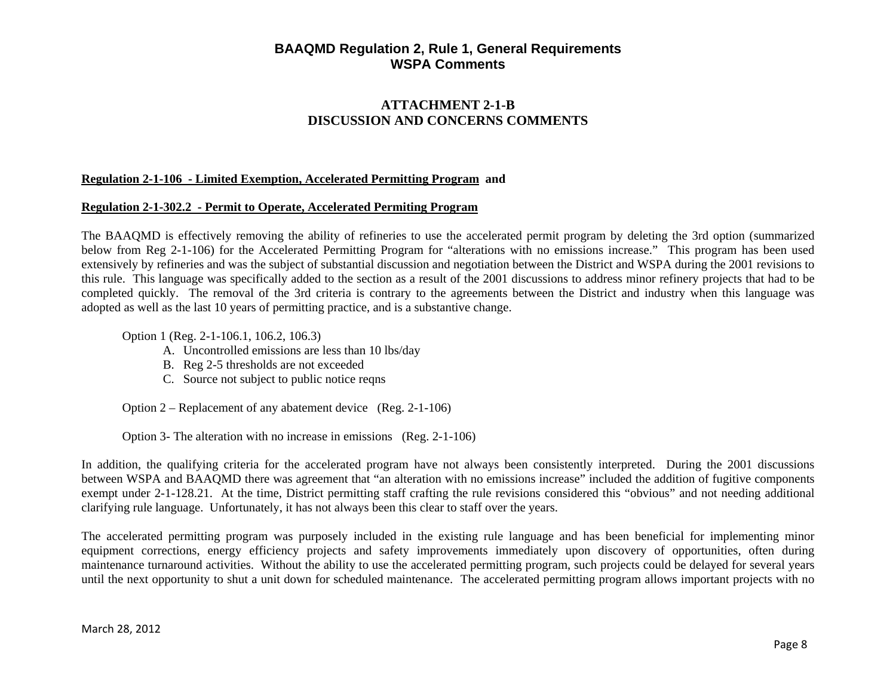# **ATTACHMENT 2-1-B DISCUSSION AND CONCERNS COMMENTS**

#### **Regulation 2-1-106 - Limited Exemption, Accelerated Permitting Program and**

#### **Regulation 2-1-302.2 - Permit to Operate, Accelerated Permiting Program**

The BAAQMD is effectively removing the ability of refineries to use the accelerated permit program by deleting the 3rd option (summarized below from Reg 2-1-106) for the Accelerated Permitting Program for "alterations with no emissions increase." This program has been used extensively by refineries and was the subject of substantial discussion and negotiation between the District and WSPA during the 2001 revisions to this rule. This language was specifically added to the section as a result of the 2001 discussions to address minor refinery projects that had to be completed quickly. The removal of the 3rd criteria is contrary to the agreements between the District and industry when this language was adopted as well as the last 10 years of permitting practice, and is a substantive change.

Option 1 (Reg. 2-1-106.1, 106.2, 106.3)

- A. Uncontrolled emissions are less than 10 lbs/day
- B. Reg 2-5 thresholds are not exceeded
- C. Source not subject to public notice reqns

Option 2 – Replacement of any abatement device (Reg. 2-1-106)

Option 3- The alteration with no increase in emissions (Reg. 2-1-106)

In addition, the qualifying criteria for the accelerated program have not always been consistently interpreted. During the 2001 discussions between WSPA and BAAQMD there was agreement that "an alteration with no emissions increase" included the addition of fugitive components exempt under 2-1-128.21. At the time, District permitting staff crafting the rule revisions considered this "obvious" and not needing additional clarifying rule language. Unfortunately, it has not always been this clear to staff over the years.

The accelerated permitting program was purposely included in the existing rule language and has been beneficial for implementing minor equipment corrections, energy efficiency projects and safety improvements immediately upon discovery of opportunities, often during maintenance turnaround activities. Without the ability to use the accelerated permitting program, such projects could be delayed for several years until the next opportunity to shut a unit down for scheduled maintenance. The accelerated permitting program allows important projects with no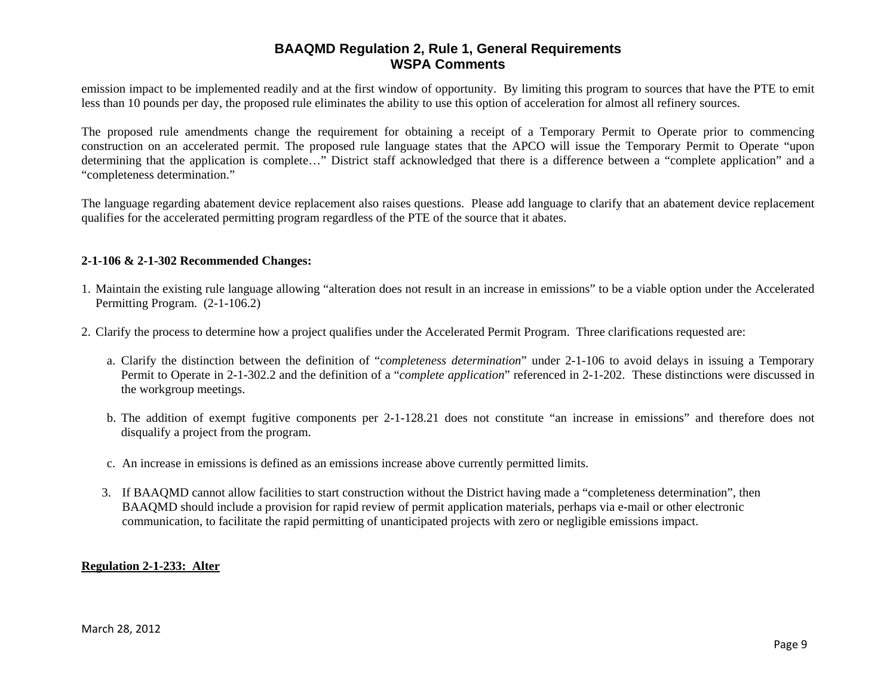emission impact to be implemented readily and at the first window of opportunity. By limiting this program to sources that have the PTE to emit less than 10 pounds per day, the proposed rule eliminates the ability to use this option of acceleration for almost all refinery sources.

The proposed rule amendments change the requirement for obtaining a receipt of a Temporary Permit to Operate prior to commencing construction on an accelerated permit. The proposed rule language states that the APCO will issue the Temporary Permit to Operate "upon determining that the application is complete…" District staff acknowledged that there is a difference between a "complete application" and a "completeness determination."

The language regarding abatement device replacement also raises questions. Please add language to clarify that an abatement device replacement qualifies for the accelerated permitting program regardless of the PTE of the source that it abates.

#### **2-1-106 & 2-1-302 Recommended Changes:**

- 1. Maintain the existing rule language allowing "alteration does not result in an increase in emissions" to be a viable option under the Accelerated Permitting Program. (2-1-106.2)
- 2. Clarify the process to determine how a project qualifies under the Accelerated Permit Program. Three clarifications requested are:
	- a. Clarify the distinction between the definition of "*completeness determination*" under 2-1-106 to avoid delays in issuing a Temporary Permit to Operate in 2-1-302.2 and the definition of a "*complete application*" referenced in 2-1-202. These distinctions were discussed in the workgroup meetings.
	- b. The addition of exempt fugitive components per 2-1-128.21 does not constitute "an increase in emissions" and therefore does not disqualify a project from the program.
	- c. An increase in emissions is defined as an emissions increase above currently permitted limits.
	- 3. If BAAQMD cannot allow facilities to start construction without the District having made a "completeness determination", then BAAQMD should include a provision for rapid review of permit application materials, perhaps via e-mail or other electronic communication, to facilitate the rapid permitting of unanticipated projects with zero or negligible emissions impact.

#### **Regulation 2-1-233: Alter**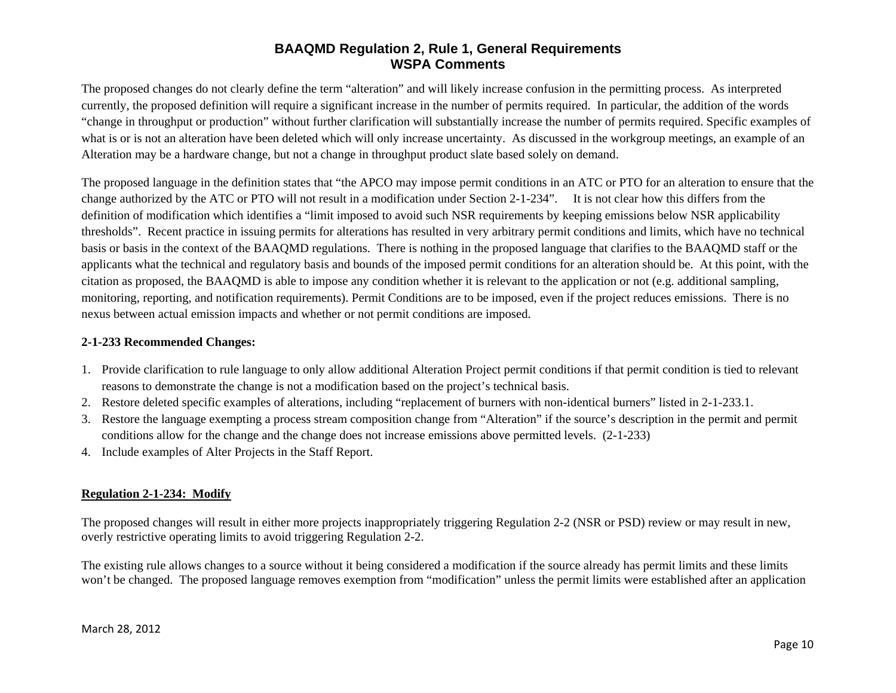The proposed changes do not clearly define the term "alteration" and will likely increase confusion in the permitting process. As interpreted currently, the proposed definition will require a significant increase in the number of permits required. In particular, the addition of the words "change in throughput or production" without further clarification will substantially increase the number of permits required. Specific examples of what is or is not an alteration have been deleted which will only increase uncertainty. As discussed in the workgroup meetings, an example of an Alteration may be a hardware change, but not a change in throughput product slate based solely on demand.

The proposed language in the definition states that "the APCO may impose permit conditions in an ATC or PTO for an alteration to ensure that the change authorized by the ATC or PTO will not result in a modification under Section 2-1-234". It is not clear how this differs from the definition of modification which identifies a "limit imposed to avoid such NSR requirements by keeping emissions below NSR applicability thresholds". Recent practice in issuing permits for alterations has resulted in very arbitrary permit conditions and limits, which have no technical basis or basis in the context of the BAAQMD regulations. There is nothing in the proposed language that clarifies to the BAAQMD staff or the applicants what the technical and regulatory basis and bounds of the imposed permit conditions for an alteration should be. At this point, with the citation as proposed, the BAAQMD is able to impose any condition whether it is relevant to the application or not (e.g. additional sampling, monitoring, reporting, and notification requirements). Permit Conditions are to be imposed, even if the project reduces emissions. There is no nexus between actual emission impacts and whether or not permit conditions are imposed.

#### **2-1-233 Recommended Changes:**

- 1. Provide clarification to rule language to only allow additional Alteration Project permit conditions if that permit condition is tied to relevant reasons to demonstrate the change is not a modification based on the project's technical basis.
- 2. Restore deleted specific examples of alterations, including "replacement of burners with non-identical burners" listed in 2-1-233.1.
- 3. Restore the language exempting a process stream composition change from "Alteration" if the source's description in the permit and permit conditions allow for the change and the change does not increase emissions above permitted levels. (2-1-233)
- 4. Include examples of Alter Projects in the Staff Report.

### **Regulation 2-1-234: Modify**

The proposed changes will result in either more projects inappropriately triggering Regulation 2-2 (NSR or PSD) review or may result in new, overly restrictive operating limits to avoid triggering Regulation 2-2.

The existing rule allows changes to a source without it being considered a modification if the source already has permit limits and these limits won't be changed. The proposed language removes exemption from "modification" unless the permit limits were established after an application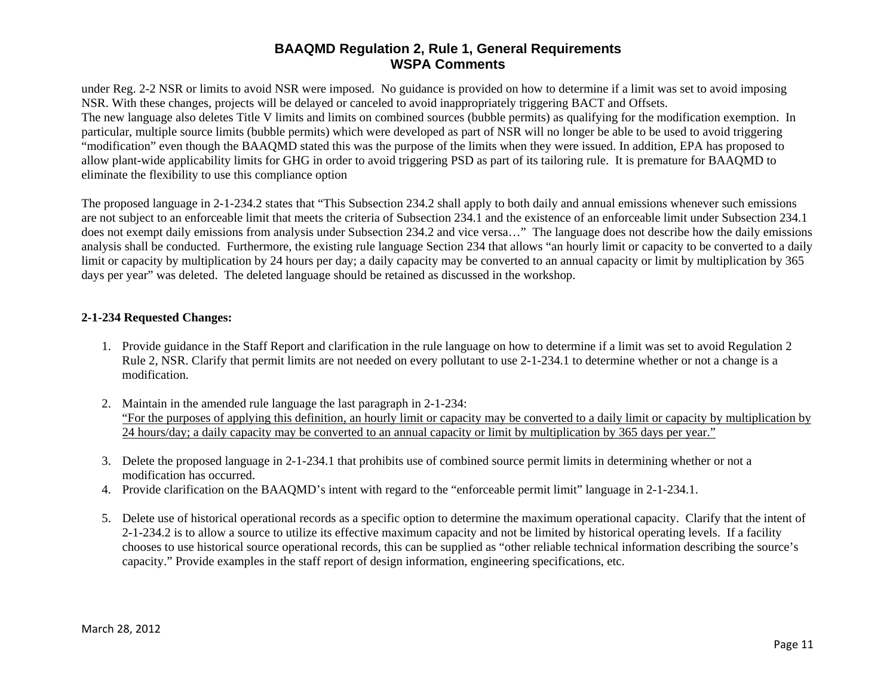under Reg. 2-2 NSR or limits to avoid NSR were imposed. No guidance is provided on how to determine if a limit was set to avoid imposing NSR. With these changes, projects will be delayed or canceled to avoid inappropriately triggering BACT and Offsets. The new language also deletes Title V limits and limits on combined sources (bubble permits) as qualifying for the modification exemption. In particular, multiple source limits (bubble permits) which were developed as part of NSR will no longer be able to be used to avoid triggering "modification" even though the BAAQMD stated this was the purpose of the limits when they were issued. In addition, EPA has proposed to allow plant-wide applicability limits for GHG in order to avoid triggering PSD as part of its tailoring rule. It is premature for BAAQMD to eliminate the flexibility to use this compliance option

The proposed language in 2-1-234.2 states that "This Subsection 234.2 shall apply to both daily and annual emissions whenever such emissions are not subject to an enforceable limit that meets the criteria of Subsection 234.1 and the existence of an enforceable limit under Subsection 234.1 does not exempt daily emissions from analysis under Subsection 234.2 and vice versa…" The language does not describe how the daily emissions analysis shall be conducted. Furthermore, the existing rule language Section 234 that allows "an hourly limit or capacity to be converted to a daily limit or capacity by multiplication by 24 hours per day; a daily capacity may be converted to an annual capacity or limit by multiplication by 365 days per year" was deleted. The deleted language should be retained as discussed in the workshop.

#### **2-1-234 Requested Changes:**

- 1. Provide guidance in the Staff Report and clarification in the rule language on how to determine if a limit was set to avoid Regulation 2 Rule 2, NSR. Clarify that permit limits are not needed on every pollutant to use 2-1-234.1 to determine whether or not a change is a modification.
- 2. Maintain in the amended rule language the last paragraph in 2-1-234: "For the purposes of applying this definition, an hourly limit or capacity may be converted to a daily limit or capacity by multiplication by 24 hours/day; a daily capacity may be converted to an annual capacity or limit by multiplication by 365 days per year."
- 3. Delete the proposed language in 2-1-234.1 that prohibits use of combined source permit limits in determining whether or not a modification has occurred.
- 4. Provide clarification on the BAAQMD's intent with regard to the "enforceable permit limit" language in 2-1-234.1.
- 5. Delete use of historical operational records as a specific option to determine the maximum operational capacity. Clarify that the intent of 2-1-234.2 is to allow a source to utilize its effective maximum capacity and not be limited by historical operating levels. If a facility chooses to use historical source operational records, this can be supplied as "other reliable technical information describing the source's capacity." Provide examples in the staff report of design information, engineering specifications, etc.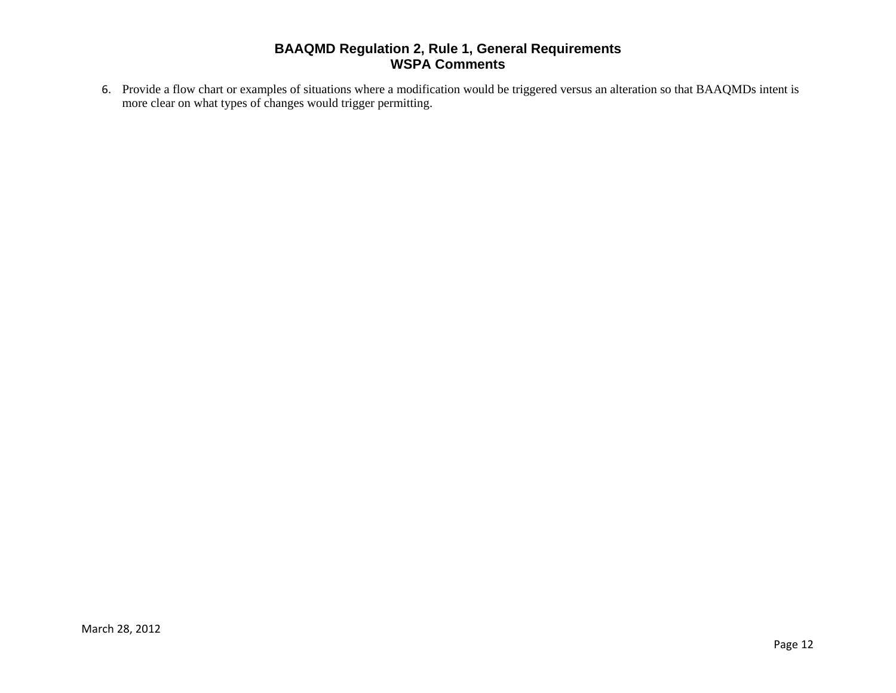6. Provide a flow chart or examples of situations where a modification would be triggered versus an alteration so that BAAQMDs intent is more clear on what types of changes would trigger permitting.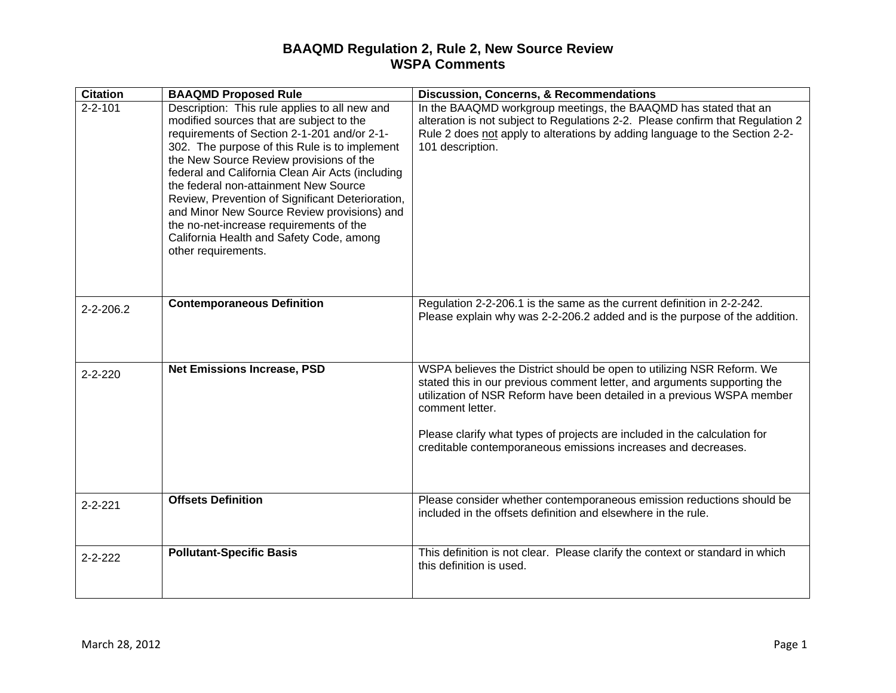## **BAAQMD Regulation 2, Rule 2, New Source Review WSPA Comments**

| <b>Citation</b> | <b>BAAQMD Proposed Rule</b>                                                                                                                                                                                                                                                                                                                                                                                                                                                                                                                        | <b>Discussion, Concerns, &amp; Recommendations</b>                                                                                                                                                                                                                                                                                                                                           |
|-----------------|----------------------------------------------------------------------------------------------------------------------------------------------------------------------------------------------------------------------------------------------------------------------------------------------------------------------------------------------------------------------------------------------------------------------------------------------------------------------------------------------------------------------------------------------------|----------------------------------------------------------------------------------------------------------------------------------------------------------------------------------------------------------------------------------------------------------------------------------------------------------------------------------------------------------------------------------------------|
| $2 - 2 - 101$   | Description: This rule applies to all new and<br>modified sources that are subject to the<br>requirements of Section 2-1-201 and/or 2-1-<br>302. The purpose of this Rule is to implement<br>the New Source Review provisions of the<br>federal and California Clean Air Acts (including<br>the federal non-attainment New Source<br>Review, Prevention of Significant Deterioration,<br>and Minor New Source Review provisions) and<br>the no-net-increase requirements of the<br>California Health and Safety Code, among<br>other requirements. | In the BAAQMD workgroup meetings, the BAAQMD has stated that an<br>alteration is not subject to Regulations 2-2. Please confirm that Regulation 2<br>Rule 2 does not apply to alterations by adding language to the Section 2-2-<br>101 description.                                                                                                                                         |
| $2 - 2 - 206.2$ | <b>Contemporaneous Definition</b>                                                                                                                                                                                                                                                                                                                                                                                                                                                                                                                  | Regulation 2-2-206.1 is the same as the current definition in 2-2-242.<br>Please explain why was 2-2-206.2 added and is the purpose of the addition.                                                                                                                                                                                                                                         |
| $2 - 2 - 220$   | <b>Net Emissions Increase, PSD</b>                                                                                                                                                                                                                                                                                                                                                                                                                                                                                                                 | WSPA believes the District should be open to utilizing NSR Reform. We<br>stated this in our previous comment letter, and arguments supporting the<br>utilization of NSR Reform have been detailed in a previous WSPA member<br>comment letter.<br>Please clarify what types of projects are included in the calculation for<br>creditable contemporaneous emissions increases and decreases. |
| $2 - 2 - 221$   | <b>Offsets Definition</b>                                                                                                                                                                                                                                                                                                                                                                                                                                                                                                                          | Please consider whether contemporaneous emission reductions should be<br>included in the offsets definition and elsewhere in the rule.                                                                                                                                                                                                                                                       |
| $2 - 2 - 222$   | <b>Pollutant-Specific Basis</b>                                                                                                                                                                                                                                                                                                                                                                                                                                                                                                                    | This definition is not clear. Please clarify the context or standard in which<br>this definition is used.                                                                                                                                                                                                                                                                                    |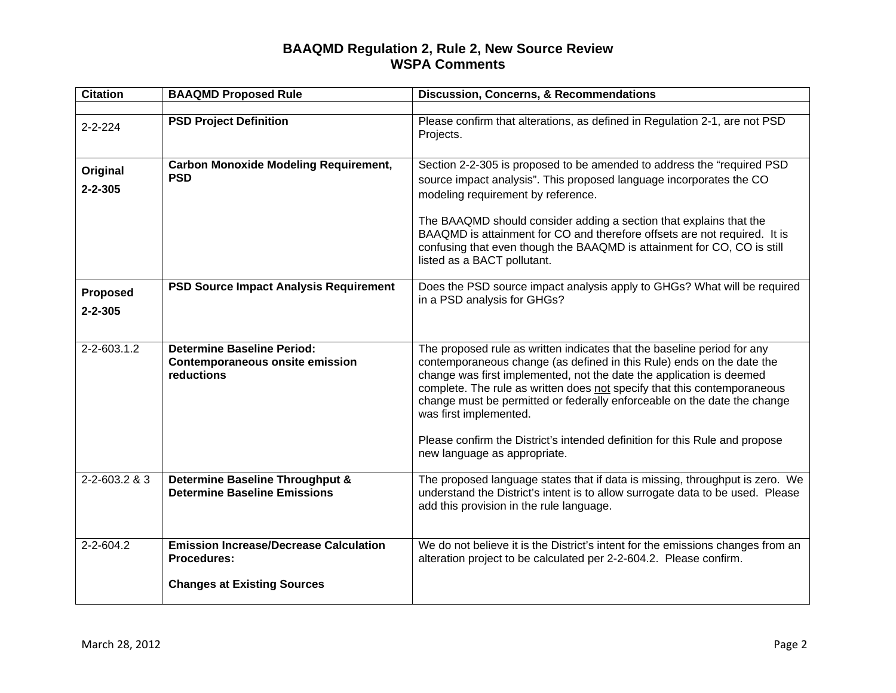## **BAAQMD Regulation 2, Rule 2, New Source Review WSPA Comments**

| <b>Citation</b>           | <b>BAAQMD Proposed Rule</b>                                                               | <b>Discussion, Concerns, &amp; Recommendations</b>                                                                                                                                                                                                                                                                                                                                                                                                                                        |
|---------------------------|-------------------------------------------------------------------------------------------|-------------------------------------------------------------------------------------------------------------------------------------------------------------------------------------------------------------------------------------------------------------------------------------------------------------------------------------------------------------------------------------------------------------------------------------------------------------------------------------------|
|                           |                                                                                           |                                                                                                                                                                                                                                                                                                                                                                                                                                                                                           |
| $2 - 2 - 224$             | <b>PSD Project Definition</b>                                                             | Please confirm that alterations, as defined in Regulation 2-1, are not PSD<br>Projects.                                                                                                                                                                                                                                                                                                                                                                                                   |
| Original<br>$2 - 2 - 305$ | <b>Carbon Monoxide Modeling Requirement,</b><br><b>PSD</b>                                | Section 2-2-305 is proposed to be amended to address the "required PSD<br>source impact analysis". This proposed language incorporates the CO<br>modeling requirement by reference.<br>The BAAQMD should consider adding a section that explains that the<br>BAAQMD is attainment for CO and therefore offsets are not required. It is<br>confusing that even though the BAAQMD is attainment for CO, CO is still<br>listed as a BACT pollutant.                                          |
| Proposed<br>$2 - 2 - 305$ | <b>PSD Source Impact Analysis Requirement</b>                                             | Does the PSD source impact analysis apply to GHGs? What will be required<br>in a PSD analysis for GHGs?                                                                                                                                                                                                                                                                                                                                                                                   |
| $2 - 2 - 603.1.2$         | <b>Determine Baseline Period:</b><br><b>Contemporaneous onsite emission</b><br>reductions | The proposed rule as written indicates that the baseline period for any<br>contemporaneous change (as defined in this Rule) ends on the date the<br>change was first implemented, not the date the application is deemed<br>complete. The rule as written does not specify that this contemporaneous<br>change must be permitted or federally enforceable on the date the change<br>was first implemented.<br>Please confirm the District's intended definition for this Rule and propose |
|                           |                                                                                           | new language as appropriate.                                                                                                                                                                                                                                                                                                                                                                                                                                                              |
| 2-2-603.2 & 3             | Determine Baseline Throughput &<br><b>Determine Baseline Emissions</b>                    | The proposed language states that if data is missing, throughput is zero. We<br>understand the District's intent is to allow surrogate data to be used. Please<br>add this provision in the rule language.                                                                                                                                                                                                                                                                                |
| $2 - 2 - 604.2$           | <b>Emission Increase/Decrease Calculation</b><br><b>Procedures:</b>                       | We do not believe it is the District's intent for the emissions changes from an<br>alteration project to be calculated per 2-2-604.2. Please confirm.                                                                                                                                                                                                                                                                                                                                     |
|                           | <b>Changes at Existing Sources</b>                                                        |                                                                                                                                                                                                                                                                                                                                                                                                                                                                                           |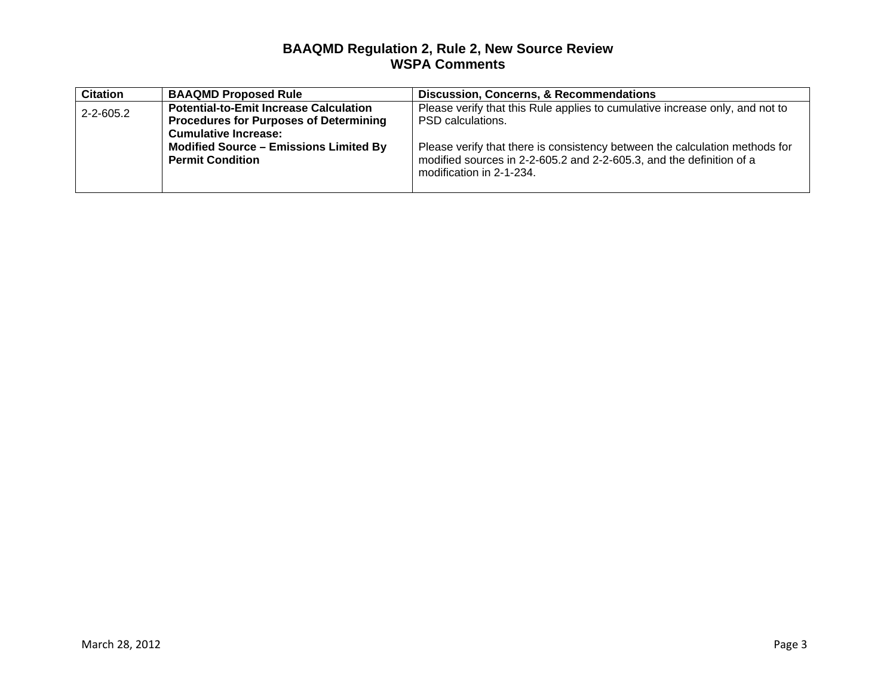## **BAAQMD Regulation 2, Rule 2, New Source Review WSPA Comments**

| <b>Citation</b> | <b>BAAQMD Proposed Rule</b>                                                                                                   | <b>Discussion, Concerns, &amp; Recommendations</b>                                                                                                                              |
|-----------------|-------------------------------------------------------------------------------------------------------------------------------|---------------------------------------------------------------------------------------------------------------------------------------------------------------------------------|
| $2 - 2 - 605.2$ | <b>Potential-to-Emit Increase Calculation</b><br><b>Procedures for Purposes of Determining</b><br><b>Cumulative Increase:</b> | Please verify that this Rule applies to cumulative increase only, and not to<br>PSD calculations.                                                                               |
|                 | <b>Modified Source - Emissions Limited By</b><br><b>Permit Condition</b>                                                      | Please verify that there is consistency between the calculation methods for<br>modified sources in 2-2-605.2 and 2-2-605.3, and the definition of a<br>modification in 2-1-234. |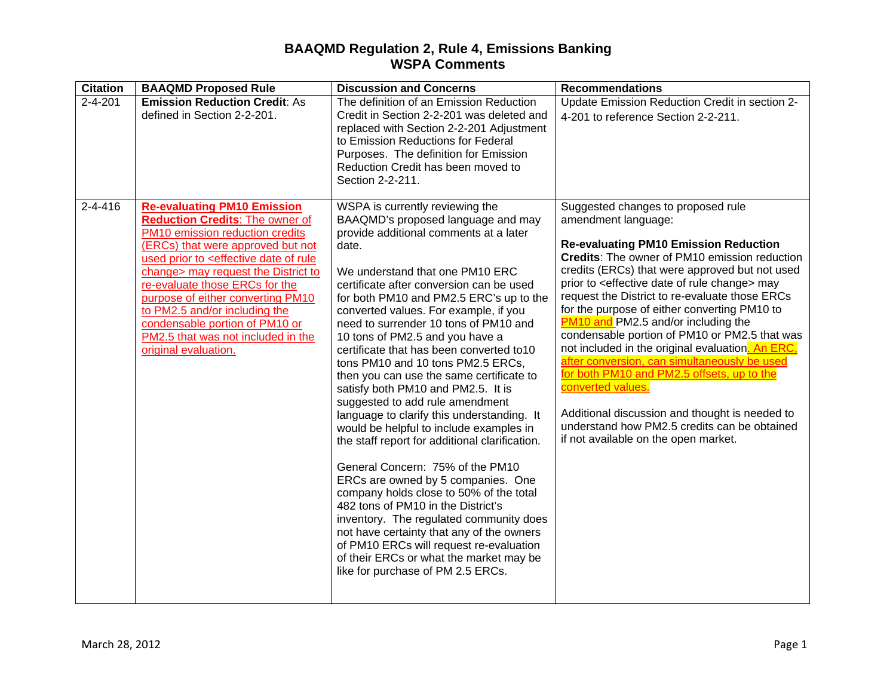## **BAAQMD Regulation 2, Rule 4, Emissions Banking WSPA Comments**

| <b>Citation</b> | <b>BAAQMD Proposed Rule</b>                                                                                                                                                                                                                                                                                                                                                                                                                                                | <b>Discussion and Concerns</b>                                                                                                                                                                                                                                                                                                                                                                                                                                                                                                                                                                                                                                                                                                                                                                                                                                                                                                                                                                                                                                                                         | <b>Recommendations</b>                                                                                                                                                                                                                                                                                                                                                                                                                                                                                                                                                                                                                                                                                                                                                                                     |
|-----------------|----------------------------------------------------------------------------------------------------------------------------------------------------------------------------------------------------------------------------------------------------------------------------------------------------------------------------------------------------------------------------------------------------------------------------------------------------------------------------|--------------------------------------------------------------------------------------------------------------------------------------------------------------------------------------------------------------------------------------------------------------------------------------------------------------------------------------------------------------------------------------------------------------------------------------------------------------------------------------------------------------------------------------------------------------------------------------------------------------------------------------------------------------------------------------------------------------------------------------------------------------------------------------------------------------------------------------------------------------------------------------------------------------------------------------------------------------------------------------------------------------------------------------------------------------------------------------------------------|------------------------------------------------------------------------------------------------------------------------------------------------------------------------------------------------------------------------------------------------------------------------------------------------------------------------------------------------------------------------------------------------------------------------------------------------------------------------------------------------------------------------------------------------------------------------------------------------------------------------------------------------------------------------------------------------------------------------------------------------------------------------------------------------------------|
| $2 - 4 - 201$   | <b>Emission Reduction Credit: As</b><br>defined in Section 2-2-201.                                                                                                                                                                                                                                                                                                                                                                                                        | The definition of an Emission Reduction<br>Credit in Section 2-2-201 was deleted and<br>replaced with Section 2-2-201 Adjustment<br>to Emission Reductions for Federal<br>Purposes. The definition for Emission<br>Reduction Credit has been moved to<br>Section 2-2-211.                                                                                                                                                                                                                                                                                                                                                                                                                                                                                                                                                                                                                                                                                                                                                                                                                              | Update Emission Reduction Credit in section 2-<br>4-201 to reference Section 2-2-211.                                                                                                                                                                                                                                                                                                                                                                                                                                                                                                                                                                                                                                                                                                                      |
| $2 - 4 - 416$   | <b>Re-evaluating PM10 Emission</b><br><b>Reduction Credits: The owner of</b><br>PM10 emission reduction credits<br>(ERCs) that were approved but not<br>used prior to <effective date="" of="" rule<br="">change&gt; may request the District to<br/>re-evaluate those ERCs for the<br/>purpose of either converting PM10<br/>to PM2.5 and/or including the<br/>condensable portion of PM10 or<br/>PM2.5 that was not included in the<br/>original evaluation.</effective> | WSPA is currently reviewing the<br>BAAQMD's proposed language and may<br>provide additional comments at a later<br>date.<br>We understand that one PM10 ERC<br>certificate after conversion can be used<br>for both PM10 and PM2.5 ERC's up to the<br>converted values. For example, if you<br>need to surrender 10 tons of PM10 and<br>10 tons of PM2.5 and you have a<br>certificate that has been converted to10<br>tons PM10 and 10 tons PM2.5 ERCs,<br>then you can use the same certificate to<br>satisfy both PM10 and PM2.5. It is<br>suggested to add rule amendment<br>language to clarify this understanding. It<br>would be helpful to include examples in<br>the staff report for additional clarification.<br>General Concern: 75% of the PM10<br>ERCs are owned by 5 companies. One<br>company holds close to 50% of the total<br>482 tons of PM10 in the District's<br>inventory. The regulated community does<br>not have certainty that any of the owners<br>of PM10 ERCs will request re-evaluation<br>of their ERCs or what the market may be<br>like for purchase of PM 2.5 ERCs. | Suggested changes to proposed rule<br>amendment language:<br><b>Re-evaluating PM10 Emission Reduction</b><br>Credits: The owner of PM10 emission reduction<br>credits (ERCs) that were approved but not used<br>prior to <effective change="" date="" of="" rule=""> may<br/>request the District to re-evaluate those ERCs<br/>for the purpose of either converting PM10 to<br/>PM10 and PM2.5 and/or including the<br/>condensable portion of PM10 or PM2.5 that was<br/>not included in the original evaluation. An ERC,<br/>after conversion, can simultaneously be used<br/>for both PM10 and PM2.5 offsets, up to the<br/>converted values.<br/>Additional discussion and thought is needed to<br/>understand how PM2.5 credits can be obtained<br/>if not available on the open market.</effective> |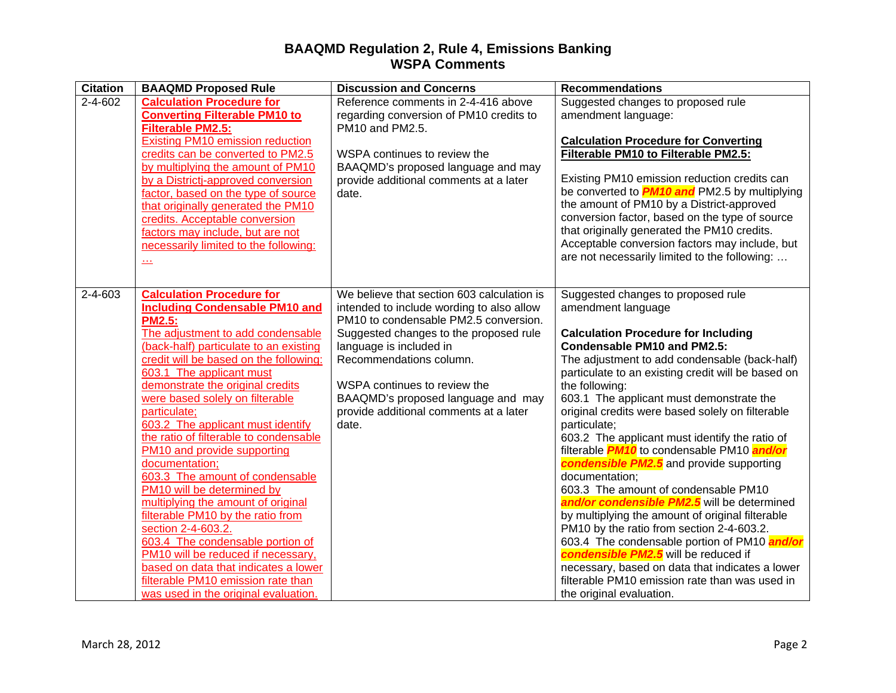## **BAAQMD Regulation 2, Rule 4, Emissions Banking WSPA Comments**

| <b>Citation</b> | <b>BAAQMD Proposed Rule</b>                                                                                                                                                                                                                                                                                                                                                                                                                                                                                                                                                                                                                                                                                                                                                                                                              | <b>Discussion and Concerns</b>                                                                                                                                                                                                                                                                                                                            | <b>Recommendations</b>                                                                                                                                                                                                                                                                                                                                                                                                                                                                                                                                                                                                                                                                                                                                                                                                                                                                                                                                                      |
|-----------------|------------------------------------------------------------------------------------------------------------------------------------------------------------------------------------------------------------------------------------------------------------------------------------------------------------------------------------------------------------------------------------------------------------------------------------------------------------------------------------------------------------------------------------------------------------------------------------------------------------------------------------------------------------------------------------------------------------------------------------------------------------------------------------------------------------------------------------------|-----------------------------------------------------------------------------------------------------------------------------------------------------------------------------------------------------------------------------------------------------------------------------------------------------------------------------------------------------------|-----------------------------------------------------------------------------------------------------------------------------------------------------------------------------------------------------------------------------------------------------------------------------------------------------------------------------------------------------------------------------------------------------------------------------------------------------------------------------------------------------------------------------------------------------------------------------------------------------------------------------------------------------------------------------------------------------------------------------------------------------------------------------------------------------------------------------------------------------------------------------------------------------------------------------------------------------------------------------|
| $2 - 4 - 602$   | <b>Calculation Procedure for</b><br><b>Converting Filterable PM10 to</b><br><b>Filterable PM2.5:</b><br><b>Existing PM10 emission reduction</b><br>credits can be converted to PM2.5<br>by multiplying the amount of PM10<br>by a Districtj-approved conversion<br>factor, based on the type of source<br>that originally generated the PM10<br>credits. Acceptable conversion<br>factors may include, but are not<br>necessarily limited to the following:<br>$\frac{1}{2}$                                                                                                                                                                                                                                                                                                                                                             | Reference comments in 2-4-416 above<br>regarding conversion of PM10 credits to<br>PM10 and PM2.5.<br>WSPA continues to review the<br>BAAQMD's proposed language and may<br>provide additional comments at a later<br>date.                                                                                                                                | Suggested changes to proposed rule<br>amendment language:<br><b>Calculation Procedure for Converting</b><br>Filterable PM10 to Filterable PM2.5:<br>Existing PM10 emission reduction credits can<br>be converted to <b>PM10 and</b> PM2.5 by multiplying<br>the amount of PM10 by a District-approved<br>conversion factor, based on the type of source<br>that originally generated the PM10 credits.<br>Acceptable conversion factors may include, but<br>are not necessarily limited to the following:                                                                                                                                                                                                                                                                                                                                                                                                                                                                   |
| 2-4-603         | <b>Calculation Procedure for</b><br><b>Including Condensable PM10 and</b><br><b>PM2.5:</b><br>The adjustment to add condensable<br>(back-half) particulate to an existing<br>credit will be based on the following:<br>603.1 The applicant must<br>demonstrate the original credits<br>were based solely on filterable<br>particulate;<br>603.2 The applicant must identify<br>the ratio of filterable to condensable<br>PM10 and provide supporting<br>documentation;<br>603.3 The amount of condensable<br>PM10 will be determined by<br>multiplying the amount of original<br>filterable PM10 by the ratio from<br>section 2-4-603.2.<br>603.4 The condensable portion of<br>PM10 will be reduced if necessary,<br>based on data that indicates a lower<br>filterable PM10 emission rate than<br>was used in the original evaluation. | We believe that section 603 calculation is<br>intended to include wording to also allow<br>PM10 to condensable PM2.5 conversion.<br>Suggested changes to the proposed rule<br>language is included in<br>Recommendations column.<br>WSPA continues to review the<br>BAAQMD's proposed language and may<br>provide additional comments at a later<br>date. | Suggested changes to proposed rule<br>amendment language<br><b>Calculation Procedure for Including</b><br><b>Condensable PM10 and PM2.5:</b><br>The adjustment to add condensable (back-half)<br>particulate to an existing credit will be based on<br>the following:<br>603.1 The applicant must demonstrate the<br>original credits were based solely on filterable<br>particulate;<br>603.2 The applicant must identify the ratio of<br>filterable <b>PM10</b> to condensable PM10 and/or<br>condensible PM2.5 and provide supporting<br>documentation;<br>603.3 The amount of condensable PM10<br>and/or condensible PM2.5 will be determined<br>by multiplying the amount of original filterable<br>PM10 by the ratio from section 2-4-603.2.<br>603.4 The condensable portion of PM10 and/or<br>condensible PM2.5 will be reduced if<br>necessary, based on data that indicates a lower<br>filterable PM10 emission rate than was used in<br>the original evaluation. |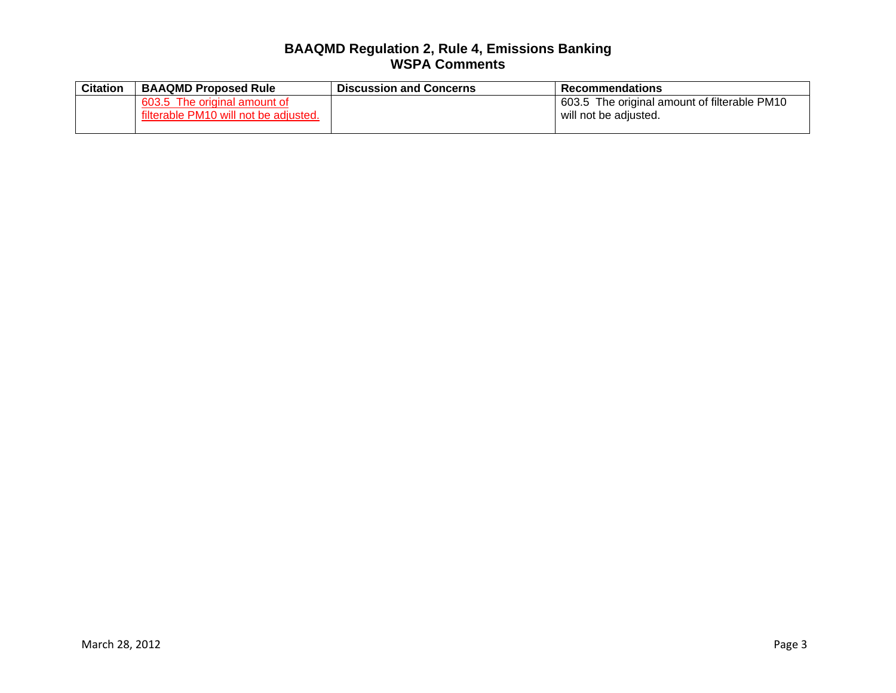## **BAAQMD Regulation 2, Rule 4, Emissions Banking WSPA Comments**

| <b>Citation</b> | <b>BAAQMD Proposed Rule</b>                                           | <b>Discussion and Concerns</b> | <b>Recommendations</b>                                                |
|-----------------|-----------------------------------------------------------------------|--------------------------------|-----------------------------------------------------------------------|
|                 | 603.5 The original amount of<br>filterable PM10 will not be adjusted. |                                | 603.5 The original amount of filterable PM10<br>will not be adiusted. |